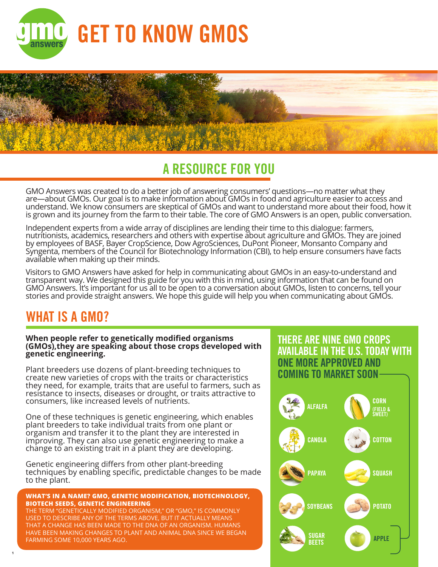



## **A RESOURCE FOR YOU**

GMO Answers was created to do a better job of answering consumers' questions—no matter what they are—about GMOs. Our goal is to make information about GMOs in food and agriculture easier to access and understand. We know consumers are skeptical of GMOs and want to understand more about their food, how it is grown and its journey from the farm to their table. The core of GMO Answers is an open, public conversation.

Independent experts from a wide array of disciplines are lending their time to this dialogue: farmers, nutritionists, academics, researchers and others with expertise about agriculture and GMOs. They are joined by employees of BASF, Bayer CropScience, Dow AgroSciences, DuPont Pioneer, Monsanto Company and Syngenta, members of the Council for Biotechnology Information (CBI), to help ensure consumers have facts available when making up their minds.

Visitors to GMO Answers have asked for help in communicating about GMOs in an easy-to-understand and transparent way. We designed this guide for you with this in mind, using information that can be found on GMO Answers. It's important for us all to be open to a conversation about GMOs, listen to concerns, tell your stories and provide straight answers. We hope this guide will help you when communicating about GMOs.

### **WHAT IS A GMO?**

**1**

#### **When people refer to genetically modified organisms (GMOs),they are speaking about those crops developed with genetic engineering.**

Plant breeders use dozens of plant-breeding techniques to create new varieties of crops with the traits or characteristics they need, for example, traits that are useful to farmers, such as resistance to insects, diseases or drought, or traits attractive to consumers, like increased levels of nutrients.

One of these techniques is genetic engineering, which enables plant breeders to take individual traits from one plant or organism and transfer it to the plant they are interested in improving. They can also use genetic engineering to make a change to an existing trait in a plant they are developing.

Genetic engineering differs from other plant-breeding techniques by enabling specific, predictable changes to be made to the plant.

#### **WHAT'S IN A NAME? GMO, GENETIC MODIFICATION, BIOTECHNOLOGY, BIOTECH SEEDS, GENETIC ENGINEERING**

THE TERM "GENETICALLY MODIFIED ORGANISM," OR "GMO," IS COMMONLY USED TO DESCRIBE ANY OF THE TERMS ABOVE, BUT IT ACTUALLY MEANS THAT A CHANGE HAS BEEN MADE TO THE DNA OF AN ORGANISM. HUMANS HAVE BEEN MAKING CHANGES TO PLANT AND ANIMAL DNA SINCE WE BEGAN FARMING SOME 10,000 YEARS AGO.

#### **THERE ARE NINE GMO CROPS AVAILABLE IN THE U.S. TODAY WITH ONE MORE APPROVED AND COMING TO MARKET SOON**

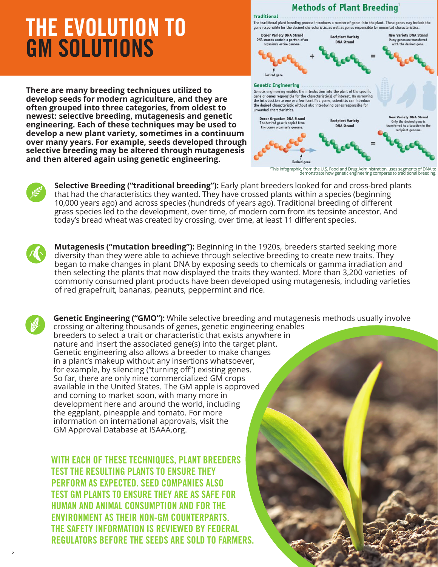# **THE EVOLUTION TO GM SOLUTIONS**

**There are many breeding techniques utilized to develop seeds for modern agriculture, and they are often grouped into three categories, from oldest to newest: selective breeding, mutagenesis and genetic engineering. Each of these techniques may be used to develop a new plant variety, sometimes in a continuum over many years. For example, seeds developed through selective breeding may be altered through mutagenesis and then altered again using genetic engineering.** 



1 This infographic, from the U.S. Food and Drug Administration, uses segments of DNA to demonstrate how genetic engineering compares to traditional breeding.



**Selective Breeding ("traditional breeding"):** Early plant breeders looked for and cross-bred plants that had the characteristics they wanted. They have crossed plants within a species (beginning 10,000 years ago) and across species (hundreds of years ago). Traditional breeding of different grass species led to the development, over time, of modern corn from its teosinte ancestor. And today's bread wheat was created by crossing, over time, at least 11 different species.

**Mutagenesis ("mutation breeding"):** Beginning in the 1920s, breeders started seeking more diversity than they were able to achieve through selective breeding to create new traits. They began to make changes in plant DNA by exposing seeds to chemicals or gamma irradiation and then selecting the plants that now displayed the traits they wanted. More than 3,200 varieties of commonly consumed plant products have been developed using mutagenesis, including varieties of red grapefruit, bananas, peanuts, peppermint and rice.

**2**

**Genetic Engineering ("GMO"):** While selective breeding and mutagenesis methods usually involve crossing or altering thousands of genes, genetic engineering enables breeders to select a trait or characteristic that exists anywhere in nature and insert the associated gene(s) into the target plant. Genetic engineering also allows a breeder to make changes in a plant's makeup without any insertions whatsoever, for example, by silencing ("turning off") existing genes. So far, there are only nine commercialized GM crops available in the United States. The GM apple is approved and coming to market soon, with many more in development here and around the world, including the eggplant, pineapple and tomato. For more information on international approvals, visit the GM Approval Database at ISAAA.org.

**WITH EACH OF THESE TECHNIQUES, PLANT BREEDERS TEST THE RESULTING PLANTS TO ENSURE THEY PERFORM AS EXPECTED. SEED COMPANIES ALSO TEST GM PLANTS TO ENSURE THEY ARE AS SAFE FOR HUMAN AND ANIMAL CONSUMPTION AND FOR THE ENVIRONMENT AS THEIR NON-GM COUNTERPARTS. THE SAFETY INFORMATION IS REVIEWED BY FEDERAL REGULATORS BEFORE THE SEEDS ARE SOLD TO FARMERS.**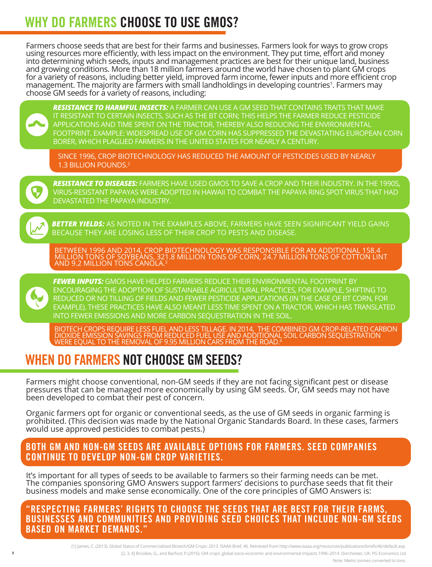# **WHY DO FARMERS CHOOSE TO USE GMOS?**

Farmers choose seeds that are best for their farms and businesses. Farmers look for ways to grow crops into determining which seeds, inputs and management practices are best for their unique land, business and growing conditions. More than 18 million farmers around the world have chosen to plant GM crops for a variety of reasons, including better yield, improved farm income, fewer inputs and more efficient crop<br>management. The majority are farmers with small landholdings in developing countries<sup>1</sup>. Farmers may management. The majority are farmers with small landholdings in developing countries<sup>1</sup>. Farmers may<br>choose GM seeds for a variety of reasons, including:



*RESISTANCE TO HARMFUL INSECTS:* A FARMER CAN USE A GM SEED THAT CONTAINS TRAITS THAT MAKE IT RESISTANT TO CERTAIN INSECTS, SUCH AS THE BT CORN; THIS HELPS THE FARMER REDUCE PESTICIDE APPLICATIONS AND TIME SPENT ON THE TRACTOR, THEREBY ALSO REDUCING THE ENVIRONMENTAL FOOTPRINT. EXAMPLE: WIDESPREAD USE OF GM CORN HAS SUPPRESSED THE DEVASTATING EUROPEAN CORN BORER, WHICH PLAGUED FARMERS IN THE UNITED STATES FOR NEARLY A CENTURY.

SINCE 1996, CROP BIOTECHNOLOGY HAS REDUCED THE AMOUNT OF PESTICIDES USED BY NEARLY 1.3 BILLION POUNDS.2



*RESISTANCE TO DISEASES:* FARMERS HAVE USED GMOS TO SAVE A CROP AND THEIR INDUSTRY. IN THE 1990S, VIRUS-RESISTANT PAPAYAS WERE ADOPTED IN HAWAII TO COMBAT THE PAPAYA RING SPOT VIRUS THAT HAD DEVASTATED THE PAPAYA INDUSTRY.



*BETTER YIELDS:* AS NOTED IN THE EXAMPLES ABOVE, FARMERS HAVE SEEN SIGNIFICANT YIELD GAINS BECAUSE THEY ARE LOSING LESS OF THEIR CROP TO PESTS AND DISEASE.



BETWEEN 1996 AND 2014, CROP BIOTECHNOLOGY WAS RESPONSIBLE FOR AN ADDITIONAL 158.4 MILLION TONS OF SOYBEANS, 321.8 MILLION TONS OF CORN, 24.7 MILLION TONS OF COTTON LINT AND 9.2 MILLION TONS CANOLA. $^3$ 



*FEWER INPUTS:* GMOS HAVE HELPED FARMERS REDUCE THEIR ENVIRONMENTAL FOOTPRINT BY ENCOURAGING THE ADOPTION OF SUSTAINABLE AGRICULTURAL PRACTICES, FOR EXAMPLE, SHIFTING TO REDUCED OR NO TILLING OF FIELDS AND FEWER PESTICIDE APPLICATIONS (IN THE CASE OF BT CORN, FOR EXAMPLE). THESE PRACTICES HAVE ALSO MEANT LESS TIME SPENT ON A TRACTOR, WHICH HAS TRANSLATED INTO FEWER EMISSIONS AND MORE CARBON SEQUESTRATION IN THE SOIL.

BIOTECH CROPS REQUIRE LESS FUEL AND LESS TILLAGE. IN 2014, THE COMBINED GM CROP-RELATED CARBON DIOXIDE EMISSION SAVINGS FROM REDUCED FUEL USE AND ADDITIONAL SOIL CARBON SEQUESTRATION WERE EQUAL TO THE REMOVAL OF 9.95 MILLION CARS FROM THE ROAD.4

# **WHEN DO FARMERS NOT CHOOSE GM SEEDS?**

Farmers might choose conventional, non-GM seeds if they are not facing significant pest or disease pressures that can be managed more economically by using GM seeds. Or, GM seeds may not have been developed to combat their pest of concern.

Organic farmers opt for organic or conventional seeds, as the use of GM seeds in organic farming is prohibited. (This decision was made by the National Organic Standards Board. In these cases, farmers would use approved pesticides to combat pests.)

#### **BOTH GM AND NON-GM SEEDS ARE AVAILABLE OPTIONS FOR FARMERS. SEED COMPANIES CONTINUE TO DEVELOP NON-GM CROP VARIETIES.**

It's important for all types of seeds to be available to farmers so their farming needs can be met. The companies sponsoring GMO Answers support farmers' decisions to purchase seeds that fit their business models and make sense economically. One of the core principles of GMO Answers is:

**"RESPECTING FARMERS' RIGHTS TO CHOOSE THE SEEDS THAT ARE BEST FOR THEIR FARMS, BUSINESSES AND COMMUNITIES AND PROVIDING SEED CHOICES THAT INCLUDE NON-GM SEEDS BASED ON MARKET DEMANDS."**

> [1] James, C. (2013). Global Status of Commercialized Biotech/GM Crops: 2013. ISAAA Brief, 46. Retrieved from http://www.isaaa.org/resources/publications/briefs/46/default.asp. [2, 3, 4] Brookes, G., and Barfoot, P.(2016). GM crops: global socio-economic and environmental Impacts 1996–2014. Dorchester, UK: PG Economics Ltd Note: Metric tonnes converted to tons.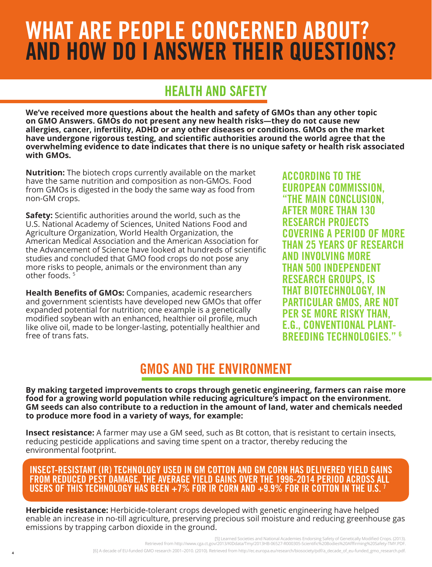# **WHAT ARE PEOPLE CONCERNED ABOUT? AND HOW DO I ANSWER THEIR QUESTIONS?**

## **HEALTH AND SAFETY**

**We've received more questions about the health and safety of GMOs than any other topic on GMO Answers. GMOs do not present any new health risks—they do not cause new allergies, cancer, infertility, ADHD or any other diseases or conditions. GMOs on the market have undergone rigorous testing, and scientific authorities around the world agree that the overwhelming evidence to date indicates that there is no unique safety or health risk associated with GMOs.** 

**Nutrition:** The biotech crops currently available on the market have the same nutrition and composition as non-GMOs. Food from GMOs is digested in the body the same way as food from non-GM crops.

**Safety:** Scientific authorities around the world, such as the U.S. National Academy of Sciences, United Nations Food and Agriculture Organization, World Health Organization, the American Medical Association and the American Association for the Advancement of Science have looked at hundreds of scientific studies and concluded that GMO food crops do not pose any more risks to people, animals or the environment than any other foods. 5

**Health Benefits of GMOs:** Companies, academic researchers and government scientists have developed new GMOs that offer expanded potential for nutrition; one example is a genetically modified soybean with an enhanced, healthier oil profile, much like olive oil, made to be longer-lasting, potentially healthier and free of trans fats.

**ACCORDING TO THE EUROPEAN COMMISSION, "THE MAIN CONCLUSION, AFTER MORE THAN 130 RESEARCH PROJECTS COVERING A PERIOD OF MORE THAN 25 YEARS OF RESEARCH AND INVOLVING MORE THAN 500 INDEPENDENT RESEARCH GROUPS, IS THAT BIOTECHNOLOGY, IN PARTICULAR GMOS, ARE NOT PER SE MORE RISKY THAN, E.G., CONVENTIONAL PLANT-BREEDING TECHNOLOGIES." 6**

### **GMOS AND THE ENVIRONMENT**

**By making targeted improvements to crops through genetic engineering, farmers can raise more food for a growing world population while reducing agriculture's impact on the environment. GM seeds can also contribute to a reduction in the amount of land, water and chemicals needed to produce more food in a variety of ways, for example:**

**Insect resistance:** A farmer may use a GM seed, such as Bt cotton, that is resistant to certain insects, reducing pesticide applications and saving time spent on a tractor, thereby reducing the environmental footprint.

#### **INSECT-RESISTANT (IR) TECHNOLOGY USED IN GM COTTON AND GM CORN HAS DELIVERED YIELD GAINS FROM REDUCED PEST DAMAGE. THE AVERAGE YIELD GAINS OVER THE 1996-2014 PERIOD ACROSS ALL USERS OF THIS TECHNOLOGY HAS BEEN +7% FOR IR CORN AND +9.9% FOR IR COTTON IN THE U.S. 7**

**Herbicide resistance:** Herbicide-tolerant crops developed with genetic engineering have helped enable an increase in no-till agriculture, preserving precious soil moisture and reducing greenhouse gas emissions by trapping carbon dioxide in the ground.

> [5] Learned Societies and National Academies Endorsing Safety of Genetically Modified Crops. (2013). Retrieved from http://www.cga.ct.gov/2013/KIDdata/Tmy/2013HB-06527-R000305-Scientific%20Bodies%20Afffirming%20Safety-TMY.PDF. [6] A decade of EU-funded GMO research 2001–2010. (2010). Retrieved from http://ec.europa.eu/research/biosociety/pdf/a\_decade\_of\_eu-funded\_gmo\_research.pdf.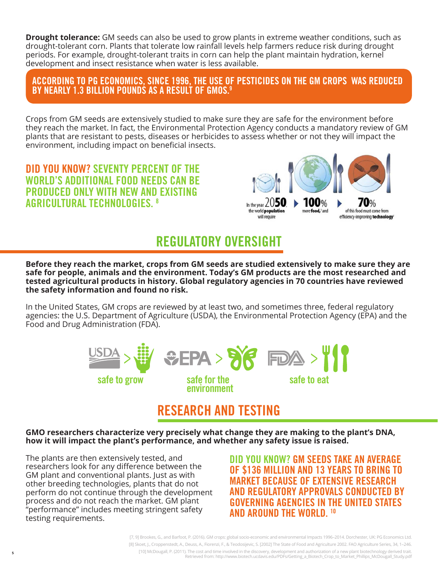**Drought tolerance:** GM seeds can also be used to grow plants in extreme weather conditions, such as drought-tolerant corn. Plants that tolerate low rainfall levels help farmers reduce risk during drought periods. For example, drought-tolerant traits in corn can help the plant maintain hydration, kernel development and insect resistance when water is less available.

**ACCORDING TO PG ECONOMICS, SINCE 1996, THE USE OF PESTICIDES ON THE GM CROPS WAS REDUCED BY NEARLY 1.3 BILLION POUNDS AS A RESULT OF GMOS.9**

Crops from GM seeds are extensively studied to make sure they are safe for the environment before they reach the market. In fact, the Environmental Protection Agency conducts a mandatory review of GM plants that are resistant to pests, diseases or herbicides to assess whether or not they will impact the environment, including impact on beneficial insects.

**DID YOU KNOW? SEVENTY PERCENT OF THE WORLD'S ADDITIONAL FOOD NEEDS CAN BE PRODUCED ONLY WITH NEW AND EXISTING AGRICULTURAL TECHNOLOGIES. 8**



## **REGULATORY OVERSIGHT**

**Before they reach the market, crops from GM seeds are studied extensively to make sure they are safe for people, animals and the environment. Today's GM products are the most researched and tested agricultural products in history. Global regulatory agencies in 70 countries have reviewed the safety information and found no risk.**

In the United States, GM crops are reviewed by at least two, and sometimes three, federal regulatory agencies: the U.S. Department of Agriculture (USDA), the Environmental Protection Agency (EPA) and the Food and Drug Administration (FDA).



## **RESEARCH AND TESTING**

**GMO researchers characterize very precisely what change they are making to the plant's DNA, how it will impact the plant's performance, and whether any safety issue is raised.** 

The plants are then extensively tested, and researchers look for any difference between the GM plant and conventional plants. Just as with other breeding technologies, plants that do not perform do not continue through the development process and do not reach the market. GM plant "performance" includes meeting stringent safety testing requirements.

**5**

**DID YOU KNOW? GM SEEDS TAKE AN AVERAGE OF \$136 MILLION AND 13 YEARS TO BRING TO MARKET BECAUSE OF EXTENSIVE RESEARCH AND REGULATORY APPROVALS CONDUCTED BY GOVERNING AGENCIES IN THE UNITED STATES AND AROUND THE WORLD. 10**

[7, 9] Brookes, G., and Barfoot, P. (2016). GM crops: global socio-economic and environmental Impacts 1996–2014. Dorchester, UK: PG Economics Ltd. [8] Skoet, J., Croppenstedt, A., Deuss, A., Fiorenzi, F., & Teodosijevic, S. [2002] The State of Food and Agriculture 2002. FAO Agriculture Series, 34, 1–246. [10] McDougall, P. (2011). The cost and time involved in the discovery, development and authorization of a new plant biotechnology derived trait. Retrieved from: http://www.biotech.ucdavis.edu/PDFs/Getting\_a\_Biotech\_Crop\_to\_Market\_Phillips\_McDougall\_Study.pdf